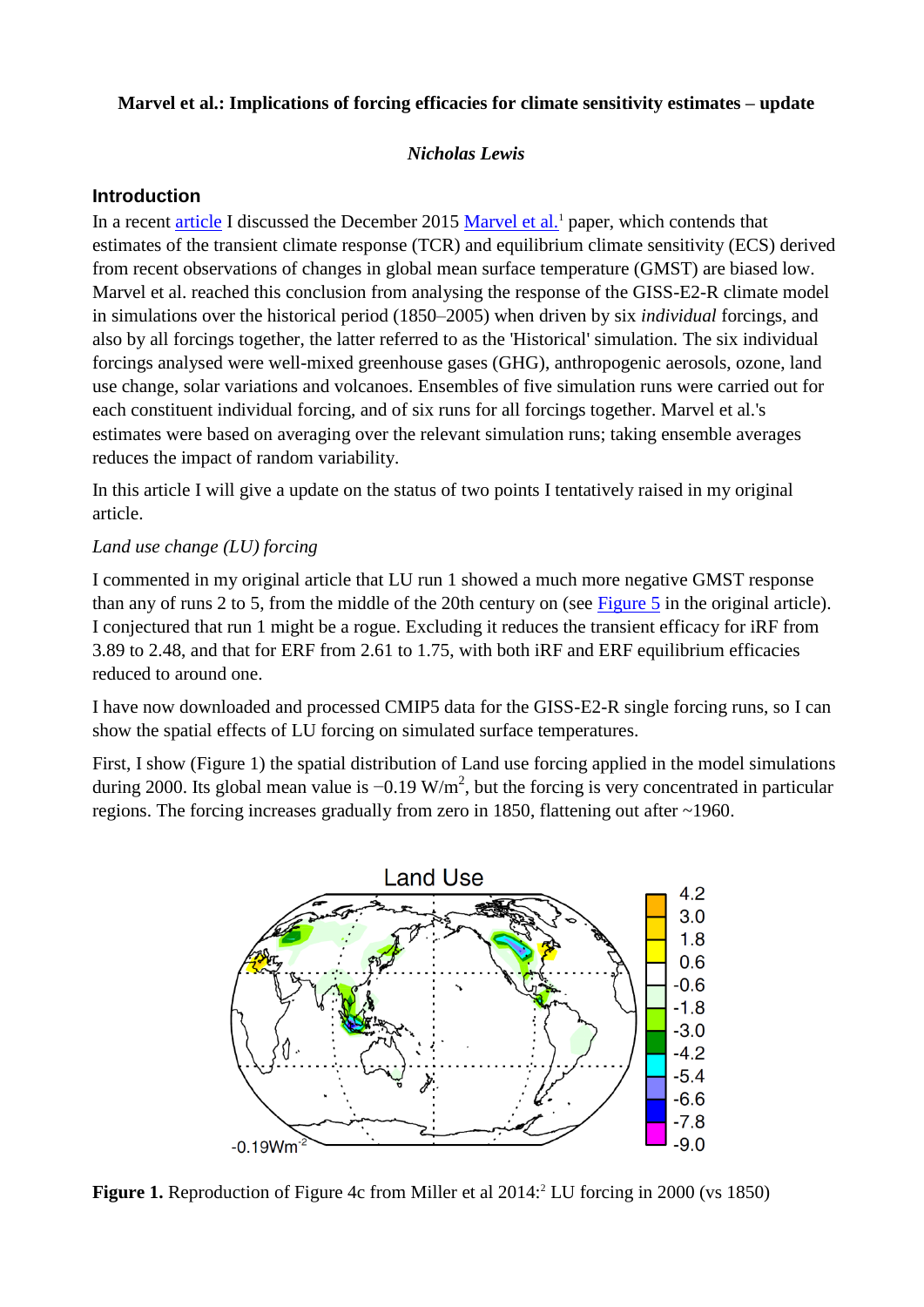## **Marvel et al.: Implications of forcing efficacies for climate sensitivity estimates – update**

### *Nicholas Lewis*

### **Introduction**

In a recent [article](http://climateaudit.org/2016/01/08/appraising-marvel-et-al-implications-of-forcing-efficacies-for-climate-sensitivity-estimates/) I discussed the December 2015 [Marvel et al.](http://www.nature.com/nclimate/journal/vaop/ncurrent/full/nclimate2888.html)<sup>1</sup> paper, which contends that estimates of the transient climate response (TCR) and equilibrium climate sensitivity (ECS) derived from recent observations of changes in global mean surface temperature (GMST) are biased low. Marvel et al. reached this conclusion from analysing the response of the GISS-E2-R climate model in simulations over the historical period (1850–2005) when driven by six *individual* forcings, and also by all forcings together, the latter referred to as the 'Historical' simulation. The six individual forcings analysed were well-mixed greenhouse gases (GHG), anthropogenic aerosols, ozone, land use change, solar variations and volcanoes. Ensembles of five simulation runs were carried out for each constituent individual forcing, and of six runs for all forcings together. Marvel et al.'s estimates were based on averaging over the relevant simulation runs; taking ensemble averages reduces the impact of random variability.

In this article I will give a update on the status of two points I tentatively raised in my original article.

## *Land use change (LU) forcing*

I commented in my original article that LU run 1 showed a much more negative GMST response than any of runs 2 to 5, from the middle of the 20th century on (see [Figure 5](https://climateaudit.files.wordpress.com/2016/01/fig5-lu_runs_gmst.png) in the original article). I conjectured that run 1 might be a rogue. Excluding it reduces the transient efficacy for iRF from 3.89 to 2.48, and that for ERF from 2.61 to 1.75, with both iRF and ERF equilibrium efficacies reduced to around one.

I have now downloaded and processed CMIP5 data for the GISS-E2-R single forcing runs, so I can show the spatial effects of LU forcing on simulated surface temperatures.

First, I show (Figure 1) the spatial distribution of Land use forcing applied in the model simulations during 2000. Its global mean value is  $-0.19 \text{ W/m}^2$ , but the forcing is very concentrated in particular regions. The forcing increases gradually from zero in 1850, flattening out after ~1960.



**Figure 1.** Reproduction of Figure 4c from Miller et al 2014:<sup>2</sup> LU forcing in 2000 (vs 1850)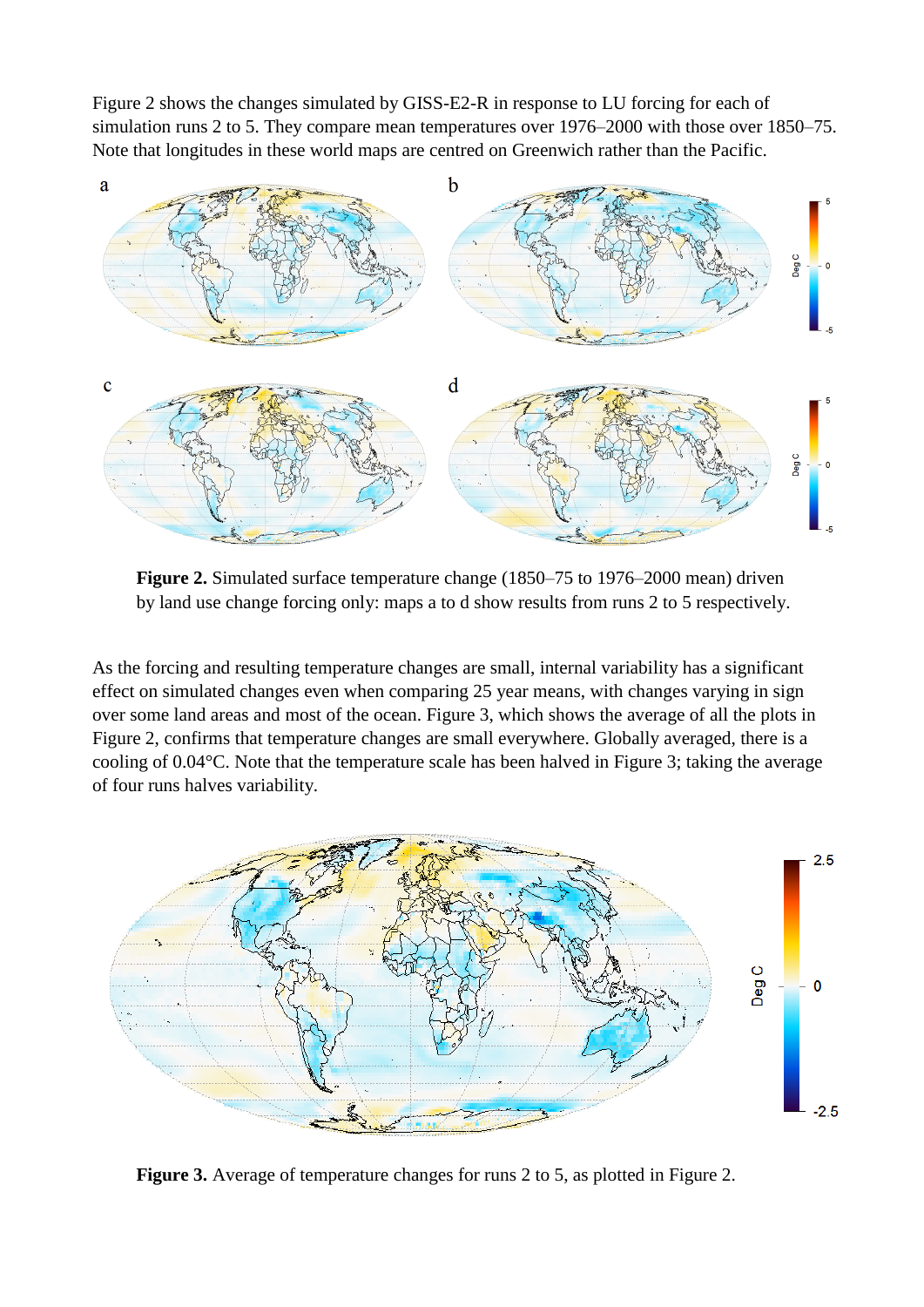Figure 2 shows the changes simulated by GISS-E2-R in response to LU forcing for each of simulation runs 2 to 5. They compare mean temperatures over 1976–2000 with those over 1850–75. Note that longitudes in these world maps are centred on Greenwich rather than the Pacific.



**Figure 2.** Simulated surface temperature change (1850–75 to 1976–2000 mean) driven by land use change forcing only: maps a to d show results from runs 2 to 5 respectively.

As the forcing and resulting temperature changes are small, internal variability has a significant effect on simulated changes even when comparing 25 year means, with changes varying in sign over some land areas and most of the ocean. Figure 3, which shows the average of all the plots in Figure 2, confirms that temperature changes are small everywhere. Globally averaged, there is a cooling of 0.04°C. Note that the temperature scale has been halved in Figure 3; taking the average of four runs halves variability.



**Figure 3.** Average of temperature changes for runs 2 to 5, as plotted in Figure 2.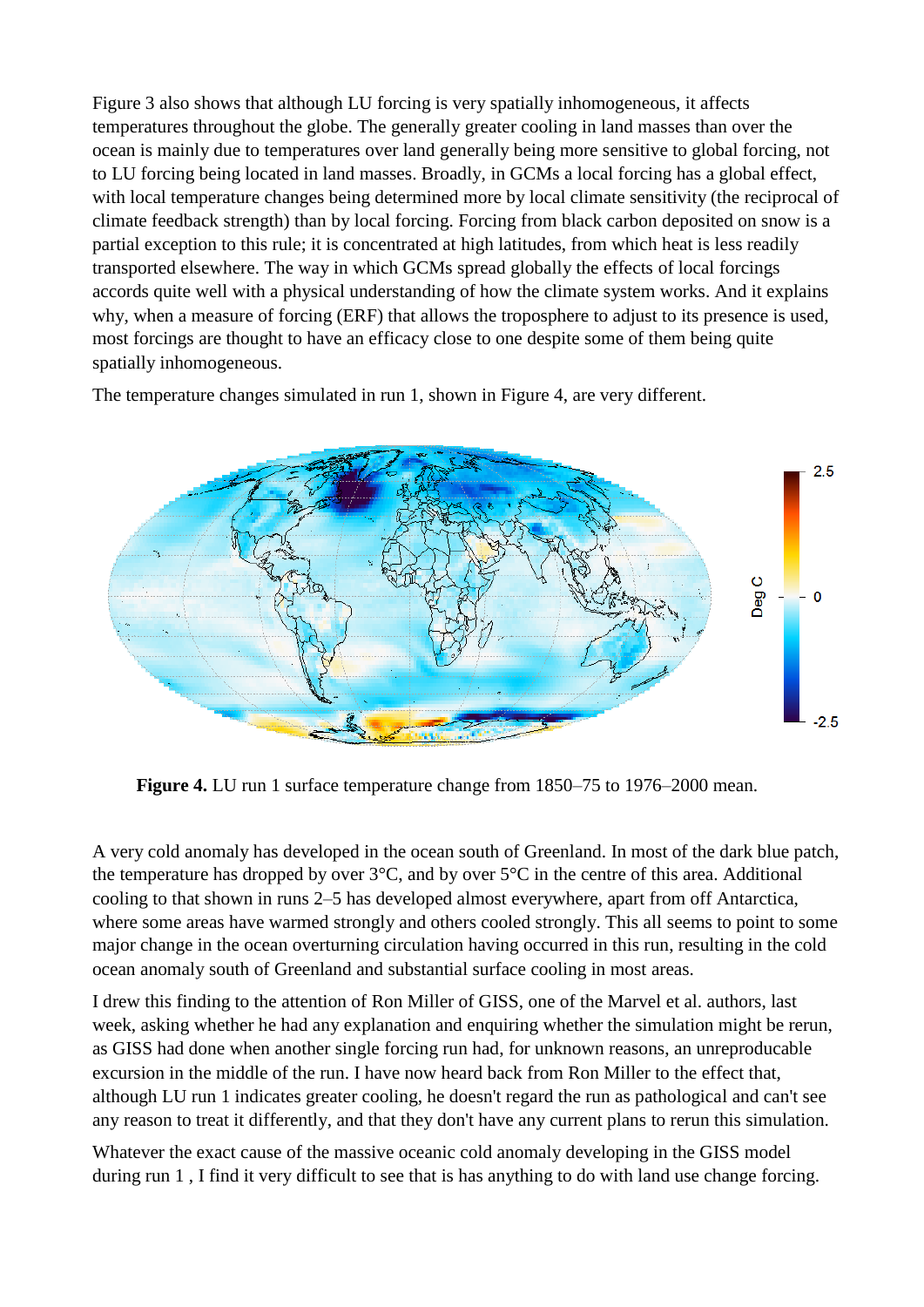Figure 3 also shows that although LU forcing is very spatially inhomogeneous, it affects temperatures throughout the globe. The generally greater cooling in land masses than over the ocean is mainly due to temperatures over land generally being more sensitive to global forcing, not to LU forcing being located in land masses. Broadly, in GCMs a local forcing has a global effect, with local temperature changes being determined more by local climate sensitivity (the reciprocal of climate feedback strength) than by local forcing. Forcing from black carbon deposited on snow is a partial exception to this rule; it is concentrated at high latitudes, from which heat is less readily transported elsewhere. The way in which GCMs spread globally the effects of local forcings accords quite well with a physical understanding of how the climate system works. And it explains why, when a measure of forcing (ERF) that allows the troposphere to adjust to its presence is used. most forcings are thought to have an efficacy close to one despite some of them being quite spatially inhomogeneous.

The temperature changes simulated in run 1, shown in Figure 4, are very different.



**Figure 4.** LU run 1 surface temperature change from 1850–75 to 1976–2000 mean.

A very cold anomaly has developed in the ocean south of Greenland. In most of the dark blue patch, the temperature has dropped by over  $3^{\circ}$ C, and by over  $5^{\circ}$ C in the centre of this area. Additional cooling to that shown in runs 2–5 has developed almost everywhere, apart from off Antarctica, where some areas have warmed strongly and others cooled strongly. This all seems to point to some major change in the ocean overturning circulation having occurred in this run, resulting in the cold ocean anomaly south of Greenland and substantial surface cooling in most areas.

I drew this finding to the attention of Ron Miller of GISS, one of the Marvel et al. authors, last week, asking whether he had any explanation and enquiring whether the simulation might be rerun, as GISS had done when another single forcing run had, for unknown reasons, an unreproducable excursion in the middle of the run. I have now heard back from Ron Miller to the effect that, although LU run 1 indicates greater cooling, he doesn't regard the run as pathological and can't see any reason to treat it differently, and that they don't have any current plans to rerun this simulation.

Whatever the exact cause of the massive oceanic cold anomaly developing in the GISS model during run 1 , I find it very difficult to see that is has anything to do with land use change forcing.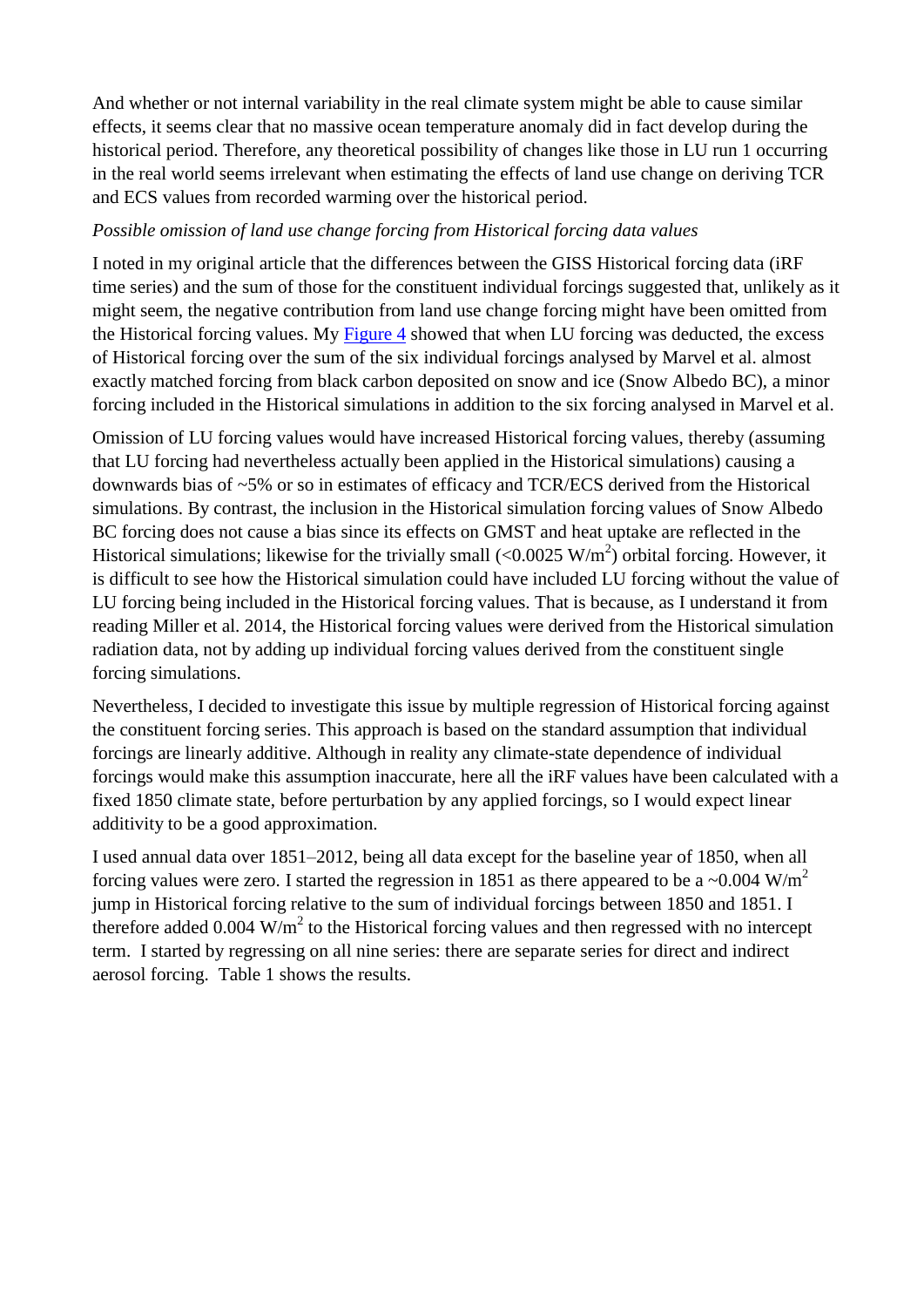And whether or not internal variability in the real climate system might be able to cause similar effects, it seems clear that no massive ocean temperature anomaly did in fact develop during the historical period. Therefore, any theoretical possibility of changes like those in LU run 1 occurring in the real world seems irrelevant when estimating the effects of land use change on deriving TCR and ECS values from recorded warming over the historical period.

### *Possible omission of land use change forcing from Historical forcing data values*

I noted in my original article that the differences between the GISS Historical forcing data (iRF time series) and the sum of those for the constituent individual forcings suggested that, unlikely as it might seem, the negative contribution from land use change forcing might have been omitted from the Historical forcing values. My [Figure 4](https://climateaudit.files.wordpress.com/2016/01/fig4-forcing-diff_bcsnow-lu.png) showed that when LU forcing was deducted, the excess of Historical forcing over the sum of the six individual forcings analysed by Marvel et al. almost exactly matched forcing from black carbon deposited on snow and ice (Snow Albedo BC), a minor forcing included in the Historical simulations in addition to the six forcing analysed in Marvel et al.

Omission of LU forcing values would have increased Historical forcing values, thereby (assuming that LU forcing had nevertheless actually been applied in the Historical simulations) causing a downwards bias of ~5% or so in estimates of efficacy and TCR/ECS derived from the Historical simulations. By contrast, the inclusion in the Historical simulation forcing values of Snow Albedo BC forcing does not cause a bias since its effects on GMST and heat uptake are reflected in the Historical simulations; likewise for the trivially small  $(<0.0025 \text{ W/m}^2)$  orbital forcing. However, it is difficult to see how the Historical simulation could have included LU forcing without the value of LU forcing being included in the Historical forcing values. That is because, as I understand it from reading Miller et al. 2014, the Historical forcing values were derived from the Historical simulation radiation data, not by adding up individual forcing values derived from the constituent single forcing simulations.

Nevertheless, I decided to investigate this issue by multiple regression of Historical forcing against the constituent forcing series. This approach is based on the standard assumption that individual forcings are linearly additive. Although in reality any climate-state dependence of individual forcings would make this assumption inaccurate, here all the iRF values have been calculated with a fixed 1850 climate state, before perturbation by any applied forcings, so I would expect linear additivity to be a good approximation.

I used annual data over 1851–2012, being all data except for the baseline year of 1850, when all forcing values were zero. I started the regression in 1851 as there appeared to be a ~0.004 W/m<sup>2</sup> jump in Historical forcing relative to the sum of individual forcings between 1850 and 1851. I therefore added  $0.004 \text{ W/m}^2$  to the Historical forcing values and then regressed with no intercept term. I started by regressing on all nine series: there are separate series for direct and indirect aerosol forcing. Table 1 shows the results.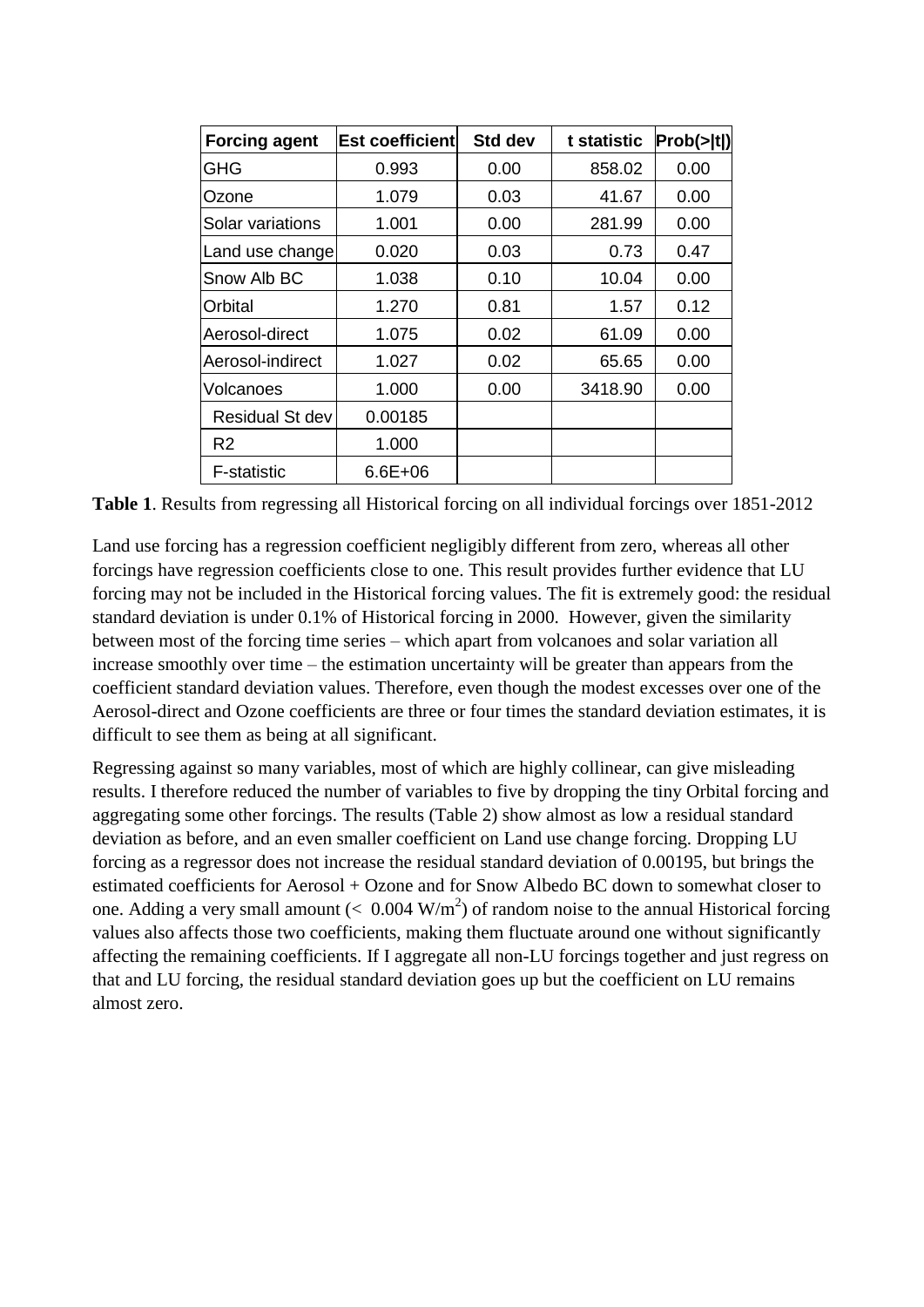| <b>Forcing agent</b> | <b>Est coefficient</b> | <b>Std dev</b> | t statistic | Prob(> t ) |
|----------------------|------------------------|----------------|-------------|------------|
| GHG                  | 0.993                  | 0.00           | 858.02      | 0.00       |
| Ozone                | 1.079                  | 0.03           | 41.67       | 0.00       |
| Solar variations     | 1.001                  | 0.00           | 281.99      | 0.00       |
| Land use change      | 0.020                  | 0.03           | 0.73        | 0.47       |
| Snow Alb BC          | 1.038                  | 0.10           | 10.04       | 0.00       |
| Orbital              | 1.270                  | 0.81           | 1.57        | 0.12       |
| Aerosol-direct       | 1.075                  | 0.02           | 61.09       | 0.00       |
| Aerosol-indirect     | 1.027                  | 0.02           | 65.65       | 0.00       |
| Volcanoes            | 1.000                  | 0.00           | 3418.90     | 0.00       |
| Residual St dev      | 0.00185                |                |             |            |
| R <sub>2</sub>       | 1.000                  |                |             |            |
| <b>F-statistic</b>   | 6.6E+06                |                |             |            |

**Table 1**. Results from regressing all Historical forcing on all individual forcings over 1851-2012

Land use forcing has a regression coefficient negligibly different from zero, whereas all other forcings have regression coefficients close to one. This result provides further evidence that LU forcing may not be included in the Historical forcing values. The fit is extremely good: the residual standard deviation is under 0.1% of Historical forcing in 2000. However, given the similarity between most of the forcing time series – which apart from volcanoes and solar variation all increase smoothly over time – the estimation uncertainty will be greater than appears from the coefficient standard deviation values. Therefore, even though the modest excesses over one of the Aerosol-direct and Ozone coefficients are three or four times the standard deviation estimates, it is difficult to see them as being at all significant.

Regressing against so many variables, most of which are highly collinear, can give misleading results. I therefore reduced the number of variables to five by dropping the tiny Orbital forcing and aggregating some other forcings. The results (Table 2) show almost as low a residual standard deviation as before, and an even smaller coefficient on Land use change forcing. Dropping LU forcing as a regressor does not increase the residual standard deviation of 0.00195, but brings the estimated coefficients for Aerosol + Ozone and for Snow Albedo BC down to somewhat closer to one. Adding a very small amount ( $< 0.004 \text{ W/m}^2$ ) of random noise to the annual Historical forcing values also affects those two coefficients, making them fluctuate around one without significantly affecting the remaining coefficients. If I aggregate all non-LU forcings together and just regress on that and LU forcing, the residual standard deviation goes up but the coefficient on LU remains almost zero.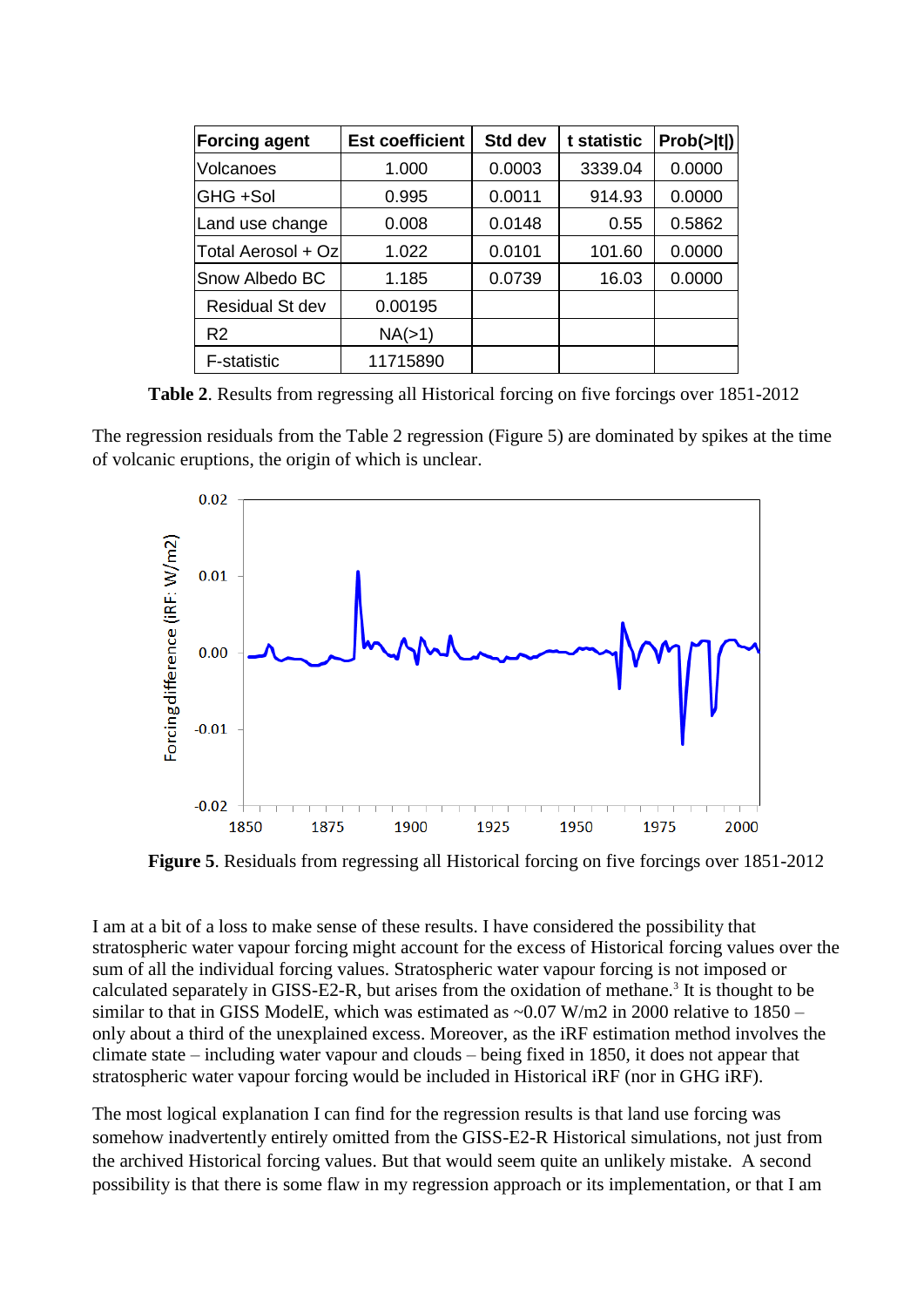| <b>Forcing agent</b>   | <b>Est coefficient</b> | Std dev | t statistic | Prob(> t ) |
|------------------------|------------------------|---------|-------------|------------|
| Volcanoes              | 1.000                  | 0.0003  | 3339.04     | 0.0000     |
| GHG +Sol               | 0.995                  | 0.0011  | 914.93      | 0.0000     |
| Land use change        | 0.008                  | 0.0148  | 0.55        | 0.5862     |
| Total Aerosol + Oz     | 1.022                  | 0.0101  | 101.60      | 0.0000     |
| Snow Albedo BC         | 1.185                  | 0.0739  | 16.03       | 0.0000     |
| <b>Residual St dev</b> | 0.00195                |         |             |            |
| R <sub>2</sub>         | NA(>1)                 |         |             |            |
| <b>F-statistic</b>     | 11715890               |         |             |            |

**Table 2**. Results from regressing all Historical forcing on five forcings over 1851-2012

The regression residuals from the Table 2 regression (Figure 5) are dominated by spikes at the time of volcanic eruptions, the origin of which is unclear.



**Figure 5**. Residuals from regressing all Historical forcing on five forcings over 1851-2012

I am at a bit of a loss to make sense of these results. I have considered the possibility that stratospheric water vapour forcing might account for the excess of Historical forcing values over the sum of all the individual forcing values. Stratospheric water vapour forcing is not imposed or calculated separately in GISS-E2-R, but arises from the oxidation of methane.<sup>3</sup> It is thought to be similar to that in GISS ModelE, which was estimated as  $\sim 0.07$  W/m2 in 2000 relative to 1850 – only about a third of the unexplained excess. Moreover, as the iRF estimation method involves the climate state – including water vapour and clouds – being fixed in 1850, it does not appear that stratospheric water vapour forcing would be included in Historical iRF (nor in GHG iRF).

The most logical explanation I can find for the regression results is that land use forcing was somehow inadvertently entirely omitted from the GISS-E2-R Historical simulations, not just from the archived Historical forcing values. But that would seem quite an unlikely mistake. A second possibility is that there is some flaw in my regression approach or its implementation, or that I am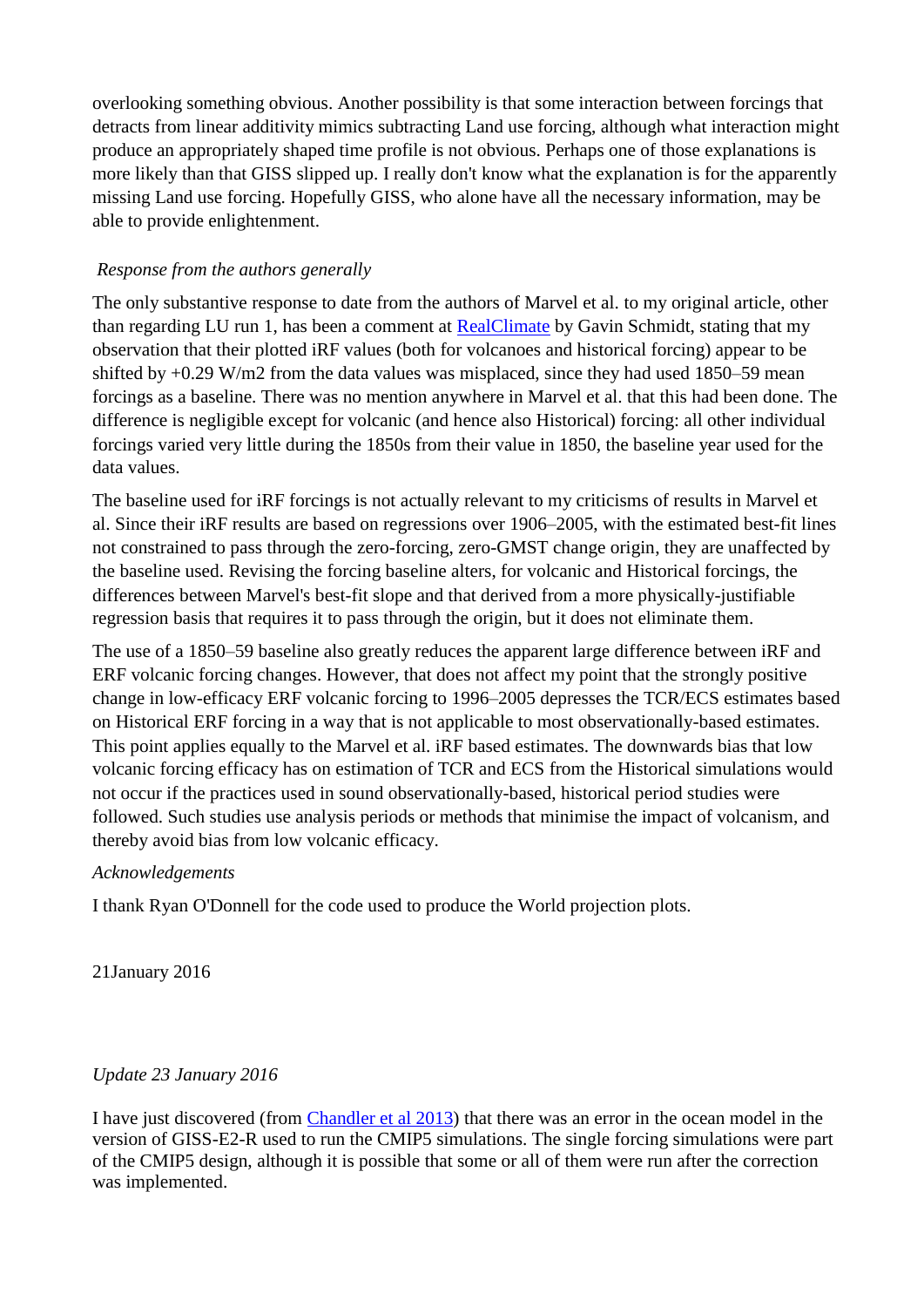overlooking something obvious. Another possibility is that some interaction between forcings that detracts from linear additivity mimics subtracting Land use forcing, although what interaction might produce an appropriately shaped time profile is not obvious. Perhaps one of those explanations is more likely than that GISS slipped up. I really don't know what the explanation is for the apparently missing Land use forcing. Hopefully GISS, who alone have all the necessary information, may be able to provide enlightenment.

# *Response from the authors generally*

The only substantive response to date from the authors of Marvel et al. to my original article, other than regarding LU run 1, has been a comment at [RealClimate](http://www.realclimate.org/index.php/archives/2016/01/marvel-et-al-2015-part-1-reconciling-estimates-of-climate-sensitivity/) by Gavin Schmidt, stating that my observation that their plotted iRF values (both for volcanoes and historical forcing) appear to be shifted by  $+0.29$  W/m2 from the data values was misplaced, since they had used 1850–59 mean forcings as a baseline. There was no mention anywhere in Marvel et al. that this had been done. The difference is negligible except for volcanic (and hence also Historical) forcing: all other individual forcings varied very little during the 1850s from their value in 1850, the baseline year used for the data values.

The baseline used for iRF forcings is not actually relevant to my criticisms of results in Marvel et al. Since their iRF results are based on regressions over 1906–2005, with the estimated best-fit lines not constrained to pass through the zero-forcing, zero-GMST change origin, they are unaffected by the baseline used. Revising the forcing baseline alters, for volcanic and Historical forcings, the differences between Marvel's best-fit slope and that derived from a more physically-justifiable regression basis that requires it to pass through the origin, but it does not eliminate them.

The use of a 1850–59 baseline also greatly reduces the apparent large difference between iRF and ERF volcanic forcing changes. However, that does not affect my point that the strongly positive change in low-efficacy ERF volcanic forcing to 1996–2005 depresses the TCR/ECS estimates based on Historical ERF forcing in a way that is not applicable to most observationally-based estimates. This point applies equally to the Marvel et al. iRF based estimates. The downwards bias that low volcanic forcing efficacy has on estimation of TCR and ECS from the Historical simulations would not occur if the practices used in sound observationally-based, historical period studies were followed. Such studies use analysis periods or methods that minimise the impact of volcanism, and thereby avoid bias from low volcanic efficacy.

## *Acknowledgements*

I thank Ryan O'Donnell for the code used to produce the World projection plots.

21January 2016

## *Update 23 January 2016*

I have just discovered (from [Chandler et al 2013\)](http://www.geosci-model-dev.net/6/517/2013/) that there was an error in the ocean model in the version of GISS-E2-R used to run the CMIP5 simulations. The single forcing simulations were part of the CMIP5 design, although it is possible that some or all of them were run after the correction was implemented.